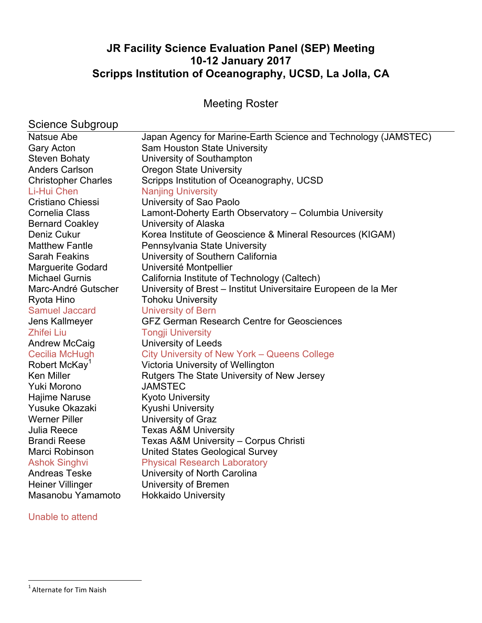# **JR Facility Science Evaluation Panel (SEP) Meeting 10-12 January 2017 Scripps Institution of Oceanography, UCSD, La Jolla, CA**

Meeting Roster

# Science Subgroup

| Natsue Abe                 | Japan Agency for Marine-Earth Science and Technology (JAMSTEC)  |
|----------------------------|-----------------------------------------------------------------|
| <b>Gary Acton</b>          | Sam Houston State University                                    |
| <b>Steven Bohaty</b>       | University of Southampton                                       |
| <b>Anders Carlson</b>      | <b>Oregon State University</b>                                  |
| <b>Christopher Charles</b> | Scripps Institution of Oceanography, UCSD                       |
| Li-Hui Chen                | <b>Nanjing University</b>                                       |
| Cristiano Chiessi          | University of Sao Paolo                                         |
| <b>Cornelia Class</b>      | Lamont-Doherty Earth Observatory - Columbia University          |
| <b>Bernard Coakley</b>     | University of Alaska                                            |
| Deniz Cukur                | Korea Institute of Geoscience & Mineral Resources (KIGAM)       |
| <b>Matthew Fantle</b>      | Pennsylvania State University                                   |
| <b>Sarah Feakins</b>       | University of Southern California                               |
| <b>Marguerite Godard</b>   | Université Montpellier                                          |
| <b>Michael Gurnis</b>      | California Institute of Technology (Caltech)                    |
| Marc-André Gutscher        | University of Brest - Institut Universitaire Europeen de la Mer |
| Ryota Hino                 | <b>Tohoku University</b>                                        |
| <b>Samuel Jaccard</b>      | <b>University of Bern</b>                                       |
| Jens Kallmeyer             | <b>GFZ German Research Centre for Geosciences</b>               |
| <b>Zhifei Liu</b>          | <b>Tongji University</b>                                        |
| Andrew McCaig              | <b>University of Leeds</b>                                      |
| Cecilia McHugh             | City University of New York - Queens College                    |
| Robert McKay <sup>1</sup>  | Victoria University of Wellington                               |
| <b>Ken Miller</b>          | Rutgers The State University of New Jersey                      |
| Yuki Morono                | <b>JAMSTEC</b>                                                  |
| Hajime Naruse              | <b>Kyoto University</b>                                         |
| Yusuke Okazaki             | <b>Kyushi University</b>                                        |
| <b>Werner Piller</b>       | University of Graz                                              |
| Julia Reece                | <b>Texas A&amp;M University</b>                                 |
| <b>Brandi Reese</b>        | Texas A&M University - Corpus Christi                           |
| Marci Robinson             | <b>United States Geological Survey</b>                          |
| <b>Ashok Singhvi</b>       | <b>Physical Research Laboratory</b>                             |
| <b>Andreas Teske</b>       | University of North Carolina                                    |
| <b>Heiner Villinger</b>    | University of Bremen                                            |
| Masanobu Yamamoto          | <b>Hokkaido University</b>                                      |

# Unable to attend

**The United States of the Alternate for Tim Naish Constants Constants Constants Constants Constants Constants C**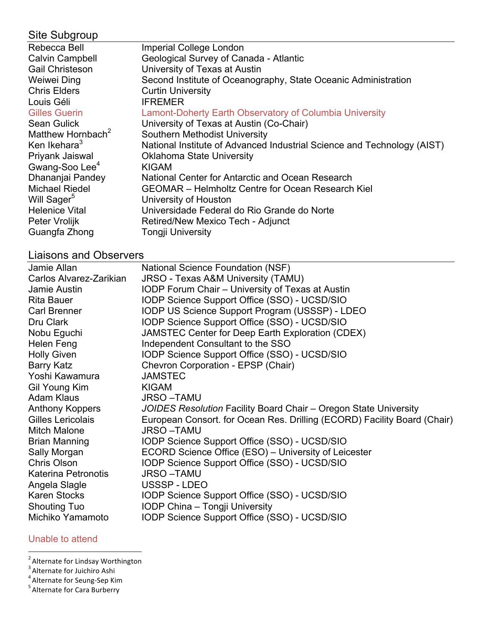| Site Subgroup                 |                                                                         |
|-------------------------------|-------------------------------------------------------------------------|
| Rebecca Bell                  | <b>Imperial College London</b>                                          |
| <b>Calvin Campbell</b>        | Geological Survey of Canada - Atlantic                                  |
| <b>Gail Christeson</b>        | University of Texas at Austin                                           |
| Weiwei Ding                   | Second Institute of Oceanography, State Oceanic Administration          |
| <b>Chris Elders</b>           | <b>Curtin University</b>                                                |
| Louis Géli                    | <b>IFREMER</b>                                                          |
| <b>Gilles Guerin</b>          | Lamont-Doherty Earth Observatory of Columbia University                 |
| <b>Sean Gulick</b>            | University of Texas at Austin (Co-Chair)                                |
| Matthew Hornbach <sup>2</sup> | Southern Methodist University                                           |
| Ken Ikehara <sup>3</sup>      | National Institute of Advanced Industrial Science and Technology (AIST) |
| Priyank Jaiswal               | <b>Oklahoma State University</b>                                        |
| Gwang-Soo Lee <sup>4</sup>    | <b>KIGAM</b>                                                            |
| Dhananjai Pandey              | National Center for Antarctic and Ocean Research                        |
| <b>Michael Riedel</b>         | <b>GEOMAR</b> – Helmholtz Centre for Ocean Research Kiel                |
| Will Sager <sup>5</sup>       | University of Houston                                                   |
| <b>Helenice Vital</b>         | Universidade Federal do Rio Grande do Norte                             |
| Peter Vrolijk                 | Retired/New Mexico Tech - Adjunct                                       |
| Guangfa Zhong                 | <b>Tongji University</b>                                                |
|                               |                                                                         |

# Liaisons and Observers

| Jamie Allan                | National Science Foundation (NSF)                                        |
|----------------------------|--------------------------------------------------------------------------|
| Carlos Alvarez-Zarikian    | JRSO - Texas A&M University (TAMU)                                       |
| Jamie Austin               | <b>IODP Forum Chair - University of Texas at Austin</b>                  |
| <b>Rita Bauer</b>          | IODP Science Support Office (SSO) - UCSD/SIO                             |
| Carl Brenner               | IODP US Science Support Program (USSSP) - LDEO                           |
| Dru Clark                  | IODP Science Support Office (SSO) - UCSD/SIO                             |
| Nobu Eguchi                | JAMSTEC Center for Deep Earth Exploration (CDEX)                         |
| Helen Feng                 | Independent Consultant to the SSO                                        |
| <b>Holly Given</b>         | IODP Science Support Office (SSO) - UCSD/SIO                             |
| <b>Barry Katz</b>          | Chevron Corporation - EPSP (Chair)                                       |
| Yoshi Kawamura             | <b>JAMSTEC</b>                                                           |
| Gil Young Kim              | <b>KIGAM</b>                                                             |
| <b>Adam Klaus</b>          | <b>JRSO-TAMU</b>                                                         |
| Anthony Koppers            | JOIDES Resolution Facility Board Chair - Oregon State University         |
| Gilles Lericolais          | European Consort. for Ocean Res. Drilling (ECORD) Facility Board (Chair) |
| <b>Mitch Malone</b>        | <b>JRSO-TAMU</b>                                                         |
| <b>Brian Manning</b>       | IODP Science Support Office (SSO) - UCSD/SIO                             |
| Sally Morgan               | ECORD Science Office (ESO) - University of Leicester                     |
| Chris Olson                | IODP Science Support Office (SSO) - UCSD/SIO                             |
| <b>Katerina Petronotis</b> | <b>JRSO-TAMU</b>                                                         |
| Angela Slagle              | USSSP-LDEO                                                               |
| Karen Stocks               | IODP Science Support Office (SSO) - UCSD/SIO                             |
| <b>Shouting Tuo</b>        | IODP China - Tongji University                                           |
| Michiko Yamamoto           | IODP Science Support Office (SSO) - UCSD/SIO                             |

# Unable to attend

<sup>2&</sup>lt;br>
<sup>2</sup> Alternate for Lindsay Worthington<br>
<sup>3</sup> Alternate for Soung Son Kim

<sup>&</sup>lt;sup>4</sup> Alternate for Seung-Sep Kim<br><sup>5</sup> Alternate for Cara Burberry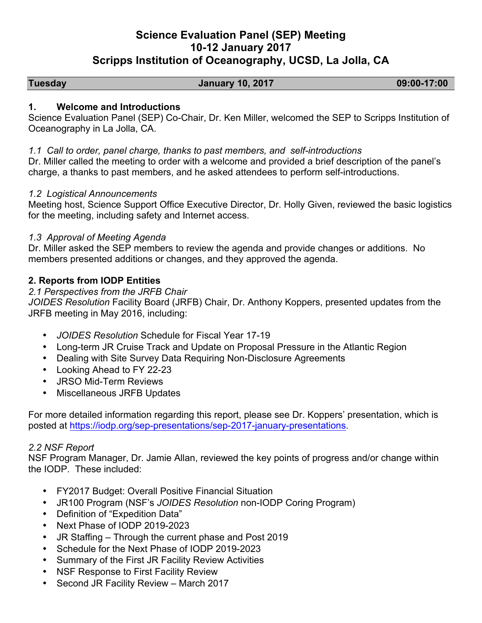# **Science Evaluation Panel (SEP) Meeting 10-12 January 2017 Scripps Institution of Oceanography, UCSD, La Jolla, CA**

#### **Tuesday January 10, 2017 09:00-17:00**

# **1. Welcome and Introductions**

Science Evaluation Panel (SEP) Co-Chair, Dr. Ken Miller, welcomed the SEP to Scripps Institution of Oceanography in La Jolla, CA.

#### *1.1 Call to order, panel charge, thanks to past members, and self-introductions*

Dr. Miller called the meeting to order with a welcome and provided a brief description of the panel's charge, a thanks to past members, and he asked attendees to perform self-introductions.

## *1.2 Logistical Announcements*

Meeting host, Science Support Office Executive Director, Dr. Holly Given, reviewed the basic logistics for the meeting, including safety and Internet access.

## *1.3 Approval of Meeting Agenda*

Dr. Miller asked the SEP members to review the agenda and provide changes or additions. No members presented additions or changes, and they approved the agenda.

# **2. Reports from IODP Entities**

## *2.1 Perspectives from the JRFB Chair*

*JOIDES Resolution* Facility Board (JRFB) Chair, Dr. Anthony Koppers, presented updates from the JRFB meeting in May 2016, including:

- *JOIDES Resolution* Schedule for Fiscal Year 17-19
- Long-term JR Cruise Track and Update on Proposal Pressure in the Atlantic Region
- Dealing with Site Survey Data Requiring Non-Disclosure Agreements
- Looking Ahead to FY 22-23
- JRSO Mid-Term Reviews
- Miscellaneous JRFB Updates

For more detailed information regarding this report, please see Dr. Koppers' presentation, which is posted at https://iodp.org/sep-presentations/sep-2017-january-presentations.

#### *2.2 NSF Report*

NSF Program Manager, Dr. Jamie Allan, reviewed the key points of progress and/or change within the IODP. These included:

- FY2017 Budget: Overall Positive Financial Situation
- JR100 Program (NSF's *JOIDES Resolution* non-IODP Coring Program)
- Definition of "Expedition Data"
- Next Phase of IODP 2019-2023
- JR Staffing Through the current phase and Post 2019
- Schedule for the Next Phase of IODP 2019-2023
- Summary of the First JR Facility Review Activities
- NSF Response to First Facility Review
- Second JR Facility Review March 2017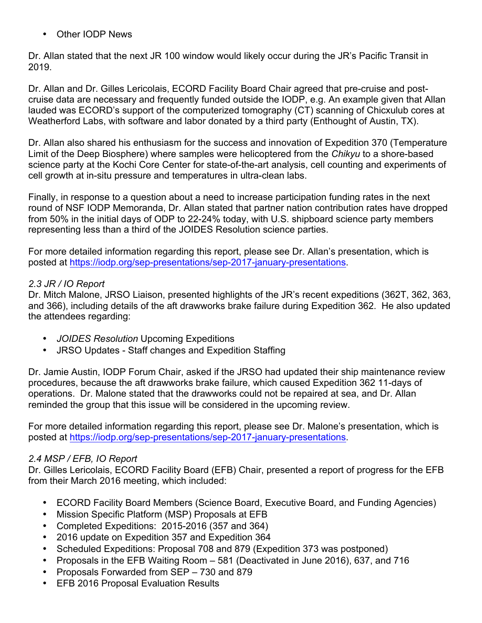Other IODP News

Dr. Allan stated that the next JR 100 window would likely occur during the JR's Pacific Transit in 2019.

Dr. Allan and Dr. Gilles Lericolais, ECORD Facility Board Chair agreed that pre-cruise and postcruise data are necessary and frequently funded outside the IODP, e.g. An example given that Allan lauded was ECORD's support of the computerized tomography (CT) scanning of Chicxulub cores at Weatherford Labs, with software and labor donated by a third party (Enthought of Austin, TX).

Dr. Allan also shared his enthusiasm for the success and innovation of Expedition 370 (Temperature Limit of the Deep Biosphere) where samples were helicoptered from the *Chikyu* to a shore-based science party at the Kochi Core Center for state-of-the-art analysis, cell counting and experiments of cell growth at in-situ pressure and temperatures in ultra-clean labs.

Finally, in response to a question about a need to increase participation funding rates in the next round of NSF IODP Memoranda, Dr. Allan stated that partner nation contribution rates have dropped from 50% in the initial days of ODP to 22-24% today, with U.S. shipboard science party members representing less than a third of the JOIDES Resolution science parties.

For more detailed information regarding this report, please see Dr. Allan's presentation, which is posted at https://iodp.org/sep-presentations/sep-2017-january-presentations.

# *2.3 JR / IO Report*

Dr. Mitch Malone, JRSO Liaison, presented highlights of the JR's recent expeditions (362T, 362, 363, and 366), including details of the aft drawworks brake failure during Expedition 362. He also updated the attendees regarding:

- *JOIDES Resolution* Upcoming Expeditions
- JRSO Updates Staff changes and Expedition Staffing

Dr. Jamie Austin, IODP Forum Chair, asked if the JRSO had updated their ship maintenance review procedures, because the aft drawworks brake failure, which caused Expedition 362 11-days of operations. Dr. Malone stated that the drawworks could not be repaired at sea, and Dr. Allan reminded the group that this issue will be considered in the upcoming review.

For more detailed information regarding this report, please see Dr. Malone's presentation, which is posted at https://iodp.org/sep-presentations/sep-2017-january-presentations.

# *2.4 MSP / EFB, IO Report*

Dr. Gilles Lericolais, ECORD Facility Board (EFB) Chair, presented a report of progress for the EFB from their March 2016 meeting, which included:

- ECORD Facility Board Members (Science Board, Executive Board, and Funding Agencies)
- Mission Specific Platform (MSP) Proposals at EFB
- Completed Expeditions: 2015-2016 (357 and 364)
- 2016 update on Expedition 357 and Expedition 364
- Scheduled Expeditions: Proposal 708 and 879 (Expedition 373 was postponed)
- Proposals in the EFB Waiting Room 581 (Deactivated in June 2016), 637, and 716
- Proposals Forwarded from SEP 730 and 879
- EFB 2016 Proposal Evaluation Results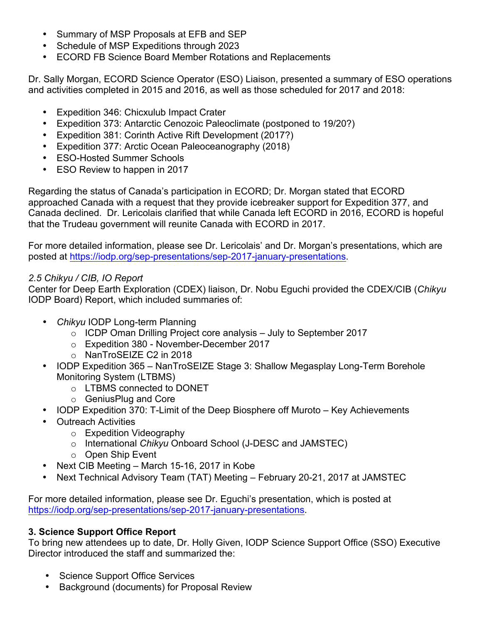- Summary of MSP Proposals at EFB and SEP
- Schedule of MSP Expeditions through 2023
- ECORD FB Science Board Member Rotations and Replacements

Dr. Sally Morgan, ECORD Science Operator (ESO) Liaison, presented a summary of ESO operations and activities completed in 2015 and 2016, as well as those scheduled for 2017 and 2018:

- Expedition 346: Chicxulub Impact Crater
- Expedition 373: Antarctic Cenozoic Paleoclimate (postponed to 19/20?)
- Expedition 381: Corinth Active Rift Development (2017?)
- Expedition 377: Arctic Ocean Paleoceanography (2018)
- ESO-Hosted Summer Schools
- ESO Review to happen in 2017

Regarding the status of Canada's participation in ECORD; Dr. Morgan stated that ECORD approached Canada with a request that they provide icebreaker support for Expedition 377, and Canada declined. Dr. Lericolais clarified that while Canada left ECORD in 2016, ECORD is hopeful that the Trudeau government will reunite Canada with ECORD in 2017.

For more detailed information, please see Dr. Lericolais' and Dr. Morgan's presentations, which are posted at https://iodp.org/sep-presentations/sep-2017-january-presentations.

# *2.5 Chikyu / CIB, IO Report*

Center for Deep Earth Exploration (CDEX) liaison, Dr. Nobu Eguchi provided the CDEX/CIB (*Chikyu* IODP Board) Report, which included summaries of:

- *Chikyu* IODP Long-term Planning
	- $\circ$  ICDP Oman Drilling Project core analysis July to September 2017
	- o Expedition 380 November-December 2017
	- o NanTroSEIZE C2 in 2018
- IODP Expedition 365 NanTroSEIZE Stage 3: Shallow Megasplay Long-Term Borehole Monitoring System (LTBMS)
	- o LTBMS connected to DONET
	- o GeniusPlug and Core
- IODP Expedition 370: T-Limit of the Deep Biosphere off Muroto Key Achievements
- Outreach Activities
	- o Expedition Videography
	- o International *Chikyu* Onboard School (J-DESC and JAMSTEC)
	- o Open Ship Event
- Next CIB Meeting March 15-16, 2017 in Kobe
- Next Technical Advisory Team (TAT) Meeting February 20-21, 2017 at JAMSTEC

For more detailed information, please see Dr. Eguchi's presentation, which is posted at https://iodp.org/sep-presentations/sep-2017-january-presentations.

# **3. Science Support Office Report**

To bring new attendees up to date, Dr. Holly Given, IODP Science Support Office (SSO) Executive Director introduced the staff and summarized the:

- Science Support Office Services
- Background (documents) for Proposal Review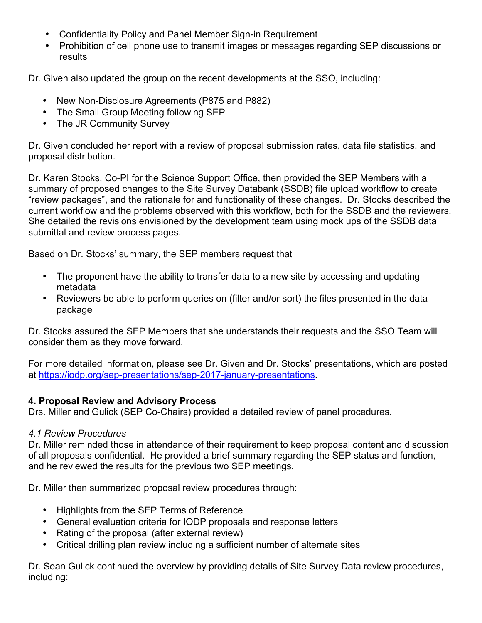- Confidentiality Policy and Panel Member Sign-in Requirement
- Prohibition of cell phone use to transmit images or messages regarding SEP discussions or results

Dr. Given also updated the group on the recent developments at the SSO, including:

- New Non-Disclosure Agreements (P875 and P882)
- The Small Group Meeting following SEP
- The JR Community Survey

Dr. Given concluded her report with a review of proposal submission rates, data file statistics, and proposal distribution.

Dr. Karen Stocks, Co-PI for the Science Support Office, then provided the SEP Members with a summary of proposed changes to the Site Survey Databank (SSDB) file upload workflow to create "review packages", and the rationale for and functionality of these changes. Dr. Stocks described the current workflow and the problems observed with this workflow, both for the SSDB and the reviewers. She detailed the revisions envisioned by the development team using mock ups of the SSDB data submittal and review process pages.

Based on Dr. Stocks' summary, the SEP members request that

- The proponent have the ability to transfer data to a new site by accessing and updating metadata
- Reviewers be able to perform queries on (filter and/or sort) the files presented in the data package

Dr. Stocks assured the SEP Members that she understands their requests and the SSO Team will consider them as they move forward.

For more detailed information, please see Dr. Given and Dr. Stocks' presentations, which are posted at https://iodp.org/sep-presentations/sep-2017-january-presentations.

# **4. Proposal Review and Advisory Process**

Drs. Miller and Gulick (SEP Co-Chairs) provided a detailed review of panel procedures.

# *4.1 Review Procedures*

Dr. Miller reminded those in attendance of their requirement to keep proposal content and discussion of all proposals confidential. He provided a brief summary regarding the SEP status and function, and he reviewed the results for the previous two SEP meetings.

Dr. Miller then summarized proposal review procedures through:

- Highlights from the SEP Terms of Reference
- General evaluation criteria for IODP proposals and response letters
- Rating of the proposal (after external review)
- Critical drilling plan review including a sufficient number of alternate sites

Dr. Sean Gulick continued the overview by providing details of Site Survey Data review procedures, including: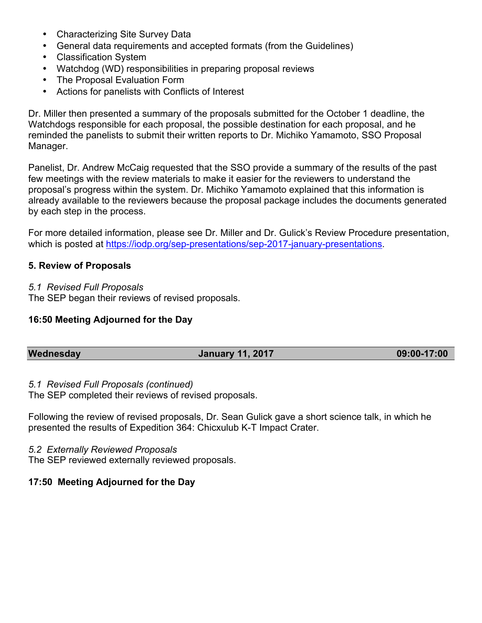- Characterizing Site Survey Data
- General data requirements and accepted formats (from the Guidelines)
- Classification System
- Watchdog (WD) responsibilities in preparing proposal reviews
- The Proposal Evaluation Form
- Actions for panelists with Conflicts of Interest

Dr. Miller then presented a summary of the proposals submitted for the October 1 deadline, the Watchdogs responsible for each proposal, the possible destination for each proposal, and he reminded the panelists to submit their written reports to Dr. Michiko Yamamoto, SSO Proposal Manager.

Panelist, Dr. Andrew McCaig requested that the SSO provide a summary of the results of the past few meetings with the review materials to make it easier for the reviewers to understand the proposal's progress within the system. Dr. Michiko Yamamoto explained that this information is already available to the reviewers because the proposal package includes the documents generated by each step in the process.

For more detailed information, please see Dr. Miller and Dr. Gulick's Review Procedure presentation, which is posted at https://iodp.org/sep-presentations/sep-2017-january-presentations.

#### **5. Review of Proposals**

#### *5.1 Revised Full Proposals*

The SEP began their reviews of revised proposals.

#### **16:50 Meeting Adjourned for the Day**

| Wednesday | <b>January 11, 2017</b> | 09:00-17:00 |
|-----------|-------------------------|-------------|
|           |                         |             |

#### *5.1 Revised Full Proposals (continued)*

The SEP completed their reviews of revised proposals.

Following the review of revised proposals, Dr. Sean Gulick gave a short science talk, in which he presented the results of Expedition 364: Chicxulub K-T Impact Crater.

#### *5.2 Externally Reviewed Proposals*

The SEP reviewed externally reviewed proposals.

#### **17:50 Meeting Adjourned for the Day**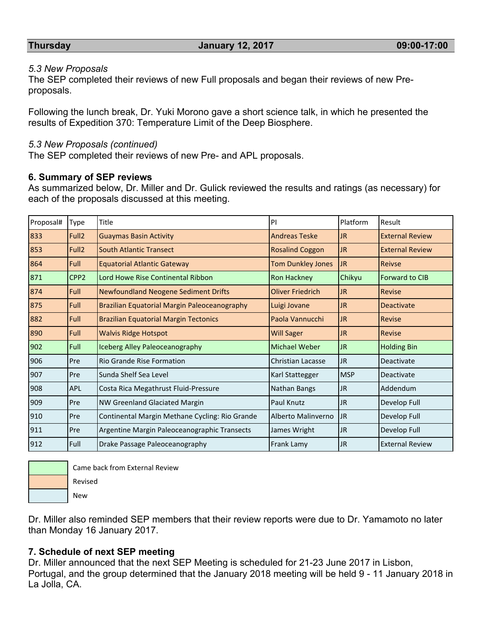#### *5.3 New Proposals*

The SEP completed their reviews of new Full proposals and began their reviews of new Preproposals.

Following the lunch break, Dr. Yuki Morono gave a short science talk, in which he presented the results of Expedition 370: Temperature Limit of the Deep Biosphere.

#### *5.3 New Proposals (continued)*

The SEP completed their reviews of new Pre- and APL proposals.

#### **6. Summary of SEP reviews**

As summarized below, Dr. Miller and Dr. Gulick reviewed the results and ratings (as necessary) for each of the proposals discussed at this meeting.

| Proposal# | Type              | Title                                          | PI                       | Platform   | Result                 |
|-----------|-------------------|------------------------------------------------|--------------------------|------------|------------------------|
| 833       | Full <sub>2</sub> | <b>Guaymas Basin Activity</b>                  | <b>Andreas Teske</b>     | JR.        | <b>External Review</b> |
| 853       | Full <sub>2</sub> | <b>South Atlantic Transect</b>                 | <b>Rosalind Coggon</b>   | <b>JR</b>  | <b>External Review</b> |
| 864       | Full              | <b>Equatorial Atlantic Gateway</b>             | <b>Tom Dunkley Jones</b> | <b>JR</b>  | <b>Reivse</b>          |
| 871       | CPP <sub>2</sub>  | Lord Howe Rise Continental Ribbon              | <b>Ron Hackney</b>       | Chikyu     | <b>Forward to CIB</b>  |
| 874       | Full              | <b>Newfoundland Neogene Sediment Drifts</b>    | <b>Oliver Friedrich</b>  | JR.        | Revise                 |
| 875       | Full              | Brazilian Equatorial Margin Paleoceanography   | Luigi Jovane             | JR.        | <b>Deactivate</b>      |
| 882       | <b>Full</b>       | <b>Brazilian Equatorial Margin Tectonics</b>   | Paola Vannucchi          | <b>JR</b>  | <b>Revise</b>          |
| 890       | Full              | <b>Walvis Ridge Hotspot</b>                    | <b>Will Sager</b>        | JR.        | <b>Revise</b>          |
| 902       | Full              | Iceberg Alley Paleoceanography                 | Michael Weber            | <b>JR</b>  | <b>Holding Bin</b>     |
| 906       | Pre               | Rio Grande Rise Formation                      | <b>Christian Lacasse</b> | IJR.       | Deactivate             |
| 907       | Pre               | Sunda Shelf Sea Level                          | Karl Stattegger          | <b>MSP</b> | Deactivate             |
| 908       | <b>APL</b>        | Costa Rica Megathrust Fluid-Pressure           | Nathan Bangs             | <b>JR</b>  | Addendum               |
| 909       | Pre               | NW Greenland Glaciated Margin                  | Paul Knutz               | <b>JR</b>  | Develop Full           |
| 910       | Pre               | Continental Margin Methane Cycling: Rio Grande | Alberto Malinverno       | JR.        | Develop Full           |
| 911       | Pre               | Argentine Margin Paleoceanographic Transects   | James Wright             | JR.        | Develop Full           |
| 912       | Full              | Drake Passage Paleoceanography                 | Frank Lamy               | <b>JR</b>  | <b>External Review</b> |



Came back from External Review

 New Revised

Dr. Miller also reminded SEP members that their review reports were due to Dr. Yamamoto no later than Monday 16 January 2017.

#### **7. Schedule of next SEP meeting**

Dr. Miller announced that the next SEP Meeting is scheduled for 21-23 June 2017 in Lisbon, Portugal, and the group determined that the January 2018 meeting will be held 9 - 11 January 2018 in La Jolla, CA.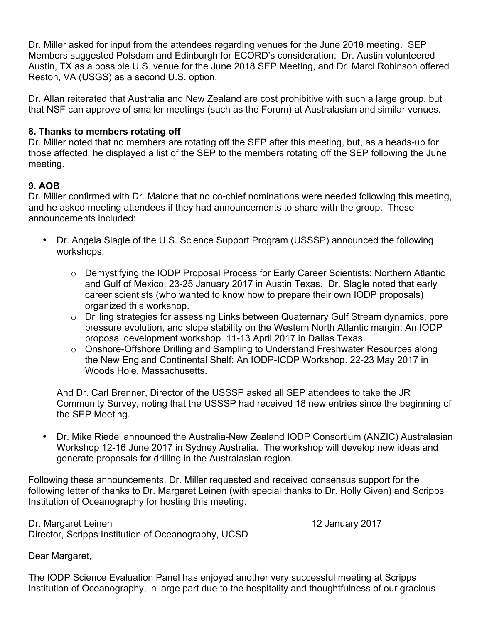Dr. Miller asked for input from the attendees regarding venues for the June 2018 meeting. SEP Members suggested Potsdam and Edinburgh for ECORD's consideration. Dr. Austin volunteered Austin, TX as a possible U.S. venue for the June 2018 SEP Meeting, and Dr. Marci Robinson offered Reston, VA (USGS) as a second U.S. option.

Dr. Allan reiterated that Australia and New Zealand are cost prohibitive with such a large group, but that NSF can approve of smaller meetings (such as the Forum) at Australasian and similar venues.

## **8. Thanks to members rotating off**

Dr. Miller noted that no members are rotating off the SEP after this meeting, but, as a heads-up for those affected, he displayed a list of the SEP to the members rotating off the SEP following the June meeting.

## **9. AOB**

Dr. Miller confirmed with Dr. Malone that no co-chief nominations were needed following this meeting, and he asked meeting attendees if they had announcements to share with the group. These announcements included:

- Dr. Angela Slagle of the U.S. Science Support Program (USSSP) announced the following workshops:
	- o Demystifying the IODP Proposal Process for Early Career Scientists: Northern Atlantic and Gulf of Mexico. 23-25 January 2017 in Austin Texas. Dr. Slagle noted that early career scientists (who wanted to know how to prepare their own IODP proposals) organized this workshop.
	- o Drilling strategies for assessing Links between Quaternary Gulf Stream dynamics, pore pressure evolution, and slope stability on the Western North Atlantic margin: An IODP proposal development workshop. 11-13 April 2017 in Dallas Texas.
	- o Onshore-Offshore Drilling and Sampling to Understand Freshwater Resources along the New England Continental Shelf: An IODP-ICDP Workshop. 22-23 May 2017 in Woods Hole, Massachusetts.

And Dr. Carl Brenner, Director of the USSSP asked all SEP attendees to take the JR Community Survey, noting that the USSSP had received 18 new entries since the beginning of the SEP Meeting.

 Dr. Mike Riedel announced the Australia-New Zealand IODP Consortium (ANZIC) Australasian Workshop 12-16 June 2017 in Sydney Australia. The workshop will develop new ideas and generate proposals for drilling in the Australasian region.

Following these announcements, Dr. Miller requested and received consensus support for the following letter of thanks to Dr. Margaret Leinen (with special thanks to Dr. Holly Given) and Scripps Institution of Oceanography for hosting this meeting.

Dr. Margaret Leinen 12 January 2017 Director, Scripps Institution of Oceanography, UCSD

Dear Margaret,

The IODP Science Evaluation Panel has enjoyed another very successful meeting at Scripps Institution of Oceanography, in large part due to the hospitality and thoughtfulness of our gracious